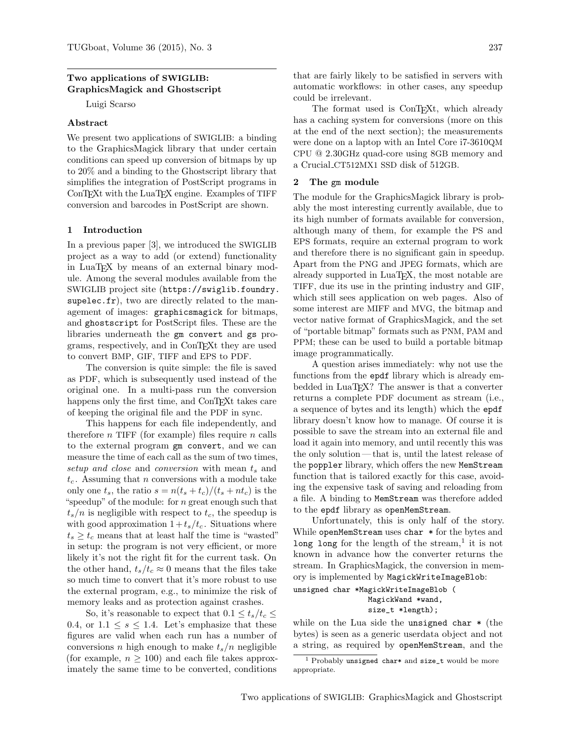# Two applications of SWIGLIB: GraphicsMagick and Ghostscript

Luigi Scarso

# Abstract

We present two applications of SWIGLIB: a binding to the GraphicsMagick library that under certain conditions can speed up conversion of bitmaps by up to 20% and a binding to the Ghostscript library that simplifies the integration of PostScript programs in ConTEXt with the LuaTEX engine. Examples of TIFF conversion and barcodes in PostScript are shown.

### 1 Introduction

In a previous paper [\[3\]](#page-3-0), we introduced the SWIGLIB project as a way to add (or extend) functionality in LuaTEX by means of an external binary module. Among the several modules available from the SWIGLIB project site ([https://swiglib.foundry.](https://swiglib.foundry.supelec.fr) [supelec.fr](https://swiglib.foundry.supelec.fr)), two are directly related to the management of images: graphicsmagick for bitmaps, and ghostscript for PostScript files. These are the libraries underneath the gm convert and gs programs, respectively, and in ConTEXt they are used to convert BMP, GIF, TIFF and EPS to PDF.

The conversion is quite simple: the file is saved as PDF, which is subsequently used instead of the original one. In a multi-pass run the conversion happens only the first time, and ConTEXt takes care of keeping the original file and the PDF in sync.

This happens for each file independently, and therefore  $n$  TIFF (for example) files require  $n$  calls to the external program gm convert, and we can measure the time of each call as the sum of two times, setup and close and conversion with mean  $t_s$  and  $t_c$ . Assuming that *n* conversions with a module take only one  $t_s$ , the ratio  $s = n(t_s + t_c)/(t_s + nt_c)$  is the "speedup" of the module: for  $n$  great enough such that  $t_s/n$  is negligible with respect to  $t_c$ , the speedup is with good approximation  $1 + t_s/t_c$ . Situations where  $t_s \geq t_c$  means that at least half the time is "wasted" in setup: the program is not very efficient, or more likely it's not the right fit for the current task. On the other hand,  $t_s/t_c \approx 0$  means that the files take so much time to convert that it's more robust to use the external program, e.g., to minimize the risk of memory leaks and as protection against crashes.

So, it's reasonable to expect that  $0.1 \le t_s/t_c \le$ 0.4, or  $1.1 \leq s \leq 1.4$ . Let's emphasize that these figures are valid when each run has a number of conversions n high enough to make  $t_s/n$  negligible (for example,  $n \geq 100$ ) and each file takes approximately the same time to be converted, conditions

that are fairly likely to be satisfied in servers with automatic workflows: in other cases, any speedup could be irrelevant.

The format used is ConT<sub>EXt</sub>, which already has a caching system for conversions (more on this at the end of the next section); the measurements were done on a laptop with an Intel Core i7-3610QM CPU @ 2.30GHz quad-core using 8GB memory and a Crucial CT512MX1 SSD disk of 512GB.

#### 2 The gm module

The module for the GraphicsMagick library is probably the most interesting currently available, due to its high number of formats available for conversion, although many of them, for example the PS and EPS formats, require an external program to work and therefore there is no significant gain in speedup. Apart from the PNG and JPEG formats, which are already supported in LuaT<sub>EX</sub>, the most notable are TIFF, due its use in the printing industry and GIF, which still sees application on web pages. Also of some interest are MIFF and MVG, the bitmap and vector native format of GraphicsMagick, and the set of "portable bitmap" formats such as PNM, PAM and PPM; these can be used to build a portable bitmap image programmatically.

A question arises immediately: why not use the functions from the epdf library which is already embedded in LuaTFX? The answer is that a converter returns a complete PDF document as stream (i.e., a sequence of bytes and its length) which the epdf library doesn't know how to manage. Of course it is possible to save the stream into an external file and load it again into memory, and until recently this was the only solution — that is, until the latest release of the poppler library, which offers the new MemStream function that is tailored exactly for this case, avoiding the expensive task of saving and reloading from a file. A binding to MemStream was therefore added to the epdf library as openMemStream.

Unfortunately, this is only half of the story. While openMemStream uses char  $*$  for the bytes and long long for the length of the stream,<sup>[1](#page-0-0)</sup> it is not known in advance how the converter returns the stream. In GraphicsMagick, the conversion in memory is implemented by MagickWriteImageBlob:

unsigned char \*MagickWriteImageBlob ( MagickWand \*wand, size\_t \*length);

while on the Lua side the unsigned char  $*$  (the bytes) is seen as a generic userdata object and not a string, as required by openMemStream, and the

<span id="page-0-0"></span><sup>&</sup>lt;sup>1</sup> Probably unsigned char\* and size\_t would be more appropriate.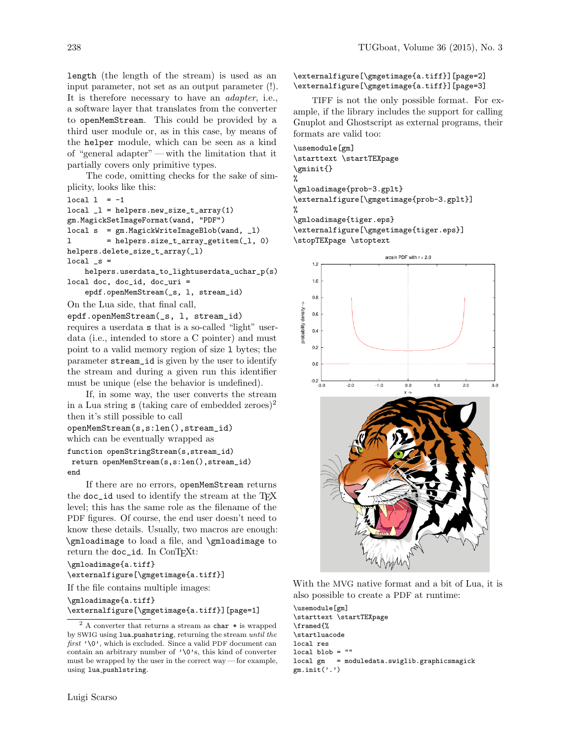length (the length of the stream) is used as an input parameter, not set as an output parameter (!). It is therefore necessary to have an adapter, i.e., a software layer that translates from the converter to openMemStream. This could be provided by a third user module or, as in this case, by means of the helper module, which can be seen as a kind of "general adapter"— with the limitation that it partially covers only primitive types.

The code, omitting checks for the sake of simplicity, looks like this:

```
local 1 = -1
```

```
local_l = helpers.new_size_t_array(1)gm.MagickSetImageFormat(wand, "PDF")
local s = gm.MagickWriteImageBlob(wand, _l)
l = helpers.size_t_array_getitem(_l, 0)
helpers.delete_size_t_array(_l)
local_s =
```
helpers.userdata\_to\_lightuserdata\_uchar\_p(s) local doc, doc\_id, doc\_uri =

epdf.openMemStream(\_s, l, stream\_id)

```
On the Lua side, that final call,
```
epdf.openMemStream(\_s, l, stream\_id) requires a userdata s that is a so-called "light" userdata (i.e., intended to store a C pointer) and must point to a valid memory region of size l bytes; the parameter stream\_id is given by the user to identify the stream and during a given run this identifier must be unique (else the behavior is undefined).

If, in some way, the user converts the stream in a Lua string  $s$  (taking care of embedded zeroes)<sup>[2](#page-1-0)</sup> then it's still possible to call

openMemStream(s,s:len(),stream\_id) which can be eventually wrapped as function openStringStream(s,stream\_id) return openMemStream(s,s:len(),stream\_id) end

If there are no errors, openMemStream returns the doc\_id used to identify the stream at the TFX level; this has the same role as the filename of the PDF figures. Of course, the end user doesn't need to know these details. Usually, two macros are enough: \gmloadimage to load a file, and \gmloadimage to return the doc\_id. In ConTFXt:

```
\gmloadimage{a.tiff}
```
\externalfigure[\gmgetimage{a.tiff}]

If the file contains multiple images:

\gmloadimage{a.tiff}

```
\externalfigure[\gmgetimage{a.tiff}][page=1]
```
### Luigi Scarso

\externalfigure[\gmgetimage{a.tiff}][page=2] \externalfigure[\gmgetimage{a.tiff}][page=3]

TIFF is not the only possible format. For example, if the library includes the support for calling Gnuplot and Ghostscript as external programs, their formats are valid too:

\usemodule[gm] \starttext \startTEXpage \gminit{} % \gmloadimage{prob-3.gplt} \externalfigure[\gmgetimage{prob-3.gplt}] % \gmloadimage{tiger.eps}

\externalfigure[\gmgetimage{tiger.eps}] \stopTEXpage \stoptext



With the MVG native format and a bit of Lua, it is also possible to create a PDF at runtime:

\usemodule[gm] \starttext \startTEXpage \framed{% \startluacode local res local blob  $=$  "" local gm = moduledata.swiglib.graphicsmagick  $gm.init('.)$ 

<span id="page-1-0"></span> $^2$  A converter that returns a stream as  ${\tt char} \, *$  is wrapped by SWIG using lua pushstring, returning the stream until the  $first$   $\lq \verb|`0`$  , which is excluded. Since a valid PDF document can contain an arbitrary number of '\0's, this kind of converter must be wrapped by the user in the correct way — for example, using lua pushlstring.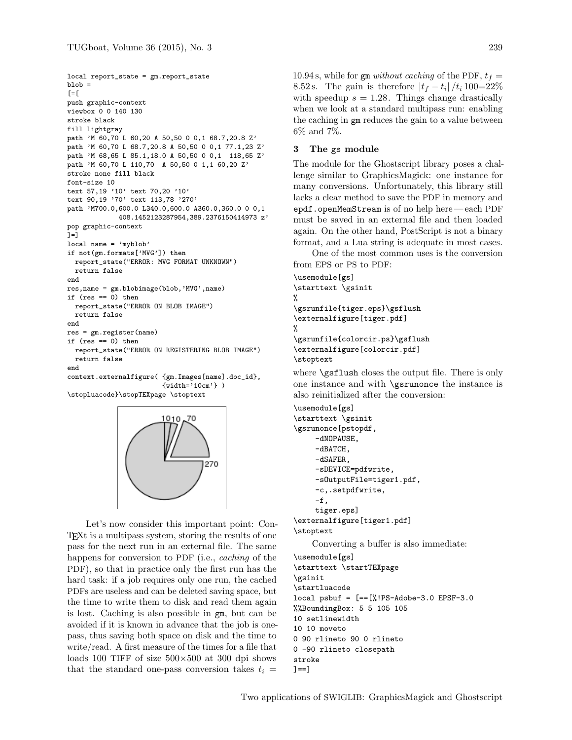```
local report_state = gm.report_state
b \,lob =[=\lceilpush graphic-context
viewbox 0 0 140 130
stroke black
fill lightgray
path 'M 60,70 L 60,20 A 50,50 0 0,1 68.7,20.8 Z'
path 'M 60,70 L 68.7,20.8 A 50,50 0 0,1 77.1,23 Z'
path 'M 68,65 L 85.1,18.0 A 50,50 0 0,1 118,65 Z'
path 'M 60,70 L 110,70 A 50,50 0 1,1 60,20 Z'
stroke none fill black
font-size 10
text 57,19 '10' text 70,20 '10'
text 90,19 '70' text 113,78 '270'
path 'M700.0,600.0 L340.0,600.0 A360.0,360.0 0 0,1
             408.1452123287954,389.2376150414973 z'
pop graphic-context
] = ]local name = 'myblob'
if not(gm.formats['MVG']) then
 report_state("ERROR: MVG FORMAT UNKNOWN")
  return false
end
res,name = gm.blobimage(blob,'MVG',name)
if (res == 0) then
 report_state("ERROR ON BLOB IMAGE")
 return false
end
res = gm.register(name)
if (res == 0) then
  report_state("ERROR ON REGISTERING BLOB IMAGE")
 return false
end
context.externalfigure( {gm.Images[name].doc_id},
                        {width='10cm'} )
\stopluacode}\stopTEXpage \stoptext
```


Let's now consider this important point: Con-TEXt is a multipass system, storing the results of one pass for the next run in an external file. The same happens for conversion to PDF (i.e., *caching* of the PDF), so that in practice only the first run has the hard task: if a job requires only one run, the cached PDFs are useless and can be deleted saving space, but the time to write them to disk and read them again is lost. Caching is also possible in gm, but can be avoided if it is known in advance that the job is onepass, thus saving both space on disk and the time to write/read. A first measure of the times for a file that loads 100 TIFF of size  $500\times500$  at 300 dpi shows that the standard one-pass conversion takes  $t_i =$ 

10.94 s, while for gm without caching of the PDF,  $t_f =$ 8.52 s. The gain is therefore  $|t_f - t_i| / t_i 100 = 22\%$ with speedup  $s = 1.28$ . Things change drastically when we look at a standard multipass run: enabling the caching in gm reduces the gain to a value between 6% and 7%.

## 3 The gs module

The module for the Ghostscript library poses a challenge similar to GraphicsMagick: one instance for many conversions. Unfortunately, this library still lacks a clear method to save the PDF in memory and epdf.openMemStream is of no help here — each PDF must be saved in an external file and then loaded again. On the other hand, PostScript is not a binary format, and a Lua string is adequate in most cases.

One of the most common uses is the conversion from EPS or PS to PDF:

```
\usemodule[gs]
\starttext \gsinit
%
\gsrunfile{tiger.eps}\gsflush
\externalfigure[tiger.pdf]
%
\gsrunfile{colorcir.ps}\gsflush
\externalfigure[colorcir.pdf]
```
\stoptext

where **\gsflush** closes the output file. There is only one instance and with \gsrunonce the instance is also reinitialized after the conversion:

\usemodule[gs] \starttext \gsinit \gsrunonce[pstopdf, -dNOPAUSE, -dBATCH, -dSAFER, -sDEVICE=pdfwrite, -sOutputFile=tiger1.pdf, -c,.setpdfwrite,  $-f$ , tiger.eps] \externalfigure[tiger1.pdf] \stoptext

Converting a buffer is also immediate:

\usemodule[gs] \starttext \startTEXpage \gsinit \startluacode local psbuf = [==[%!PS-Adobe-3.0 EPSF-3.0 %%BoundingBox: 5 5 105 105 10 setlinewidth 10 10 moveto 0 90 rlineto 90 0 rlineto 0 -90 rlineto closepath stroke  $] == ]$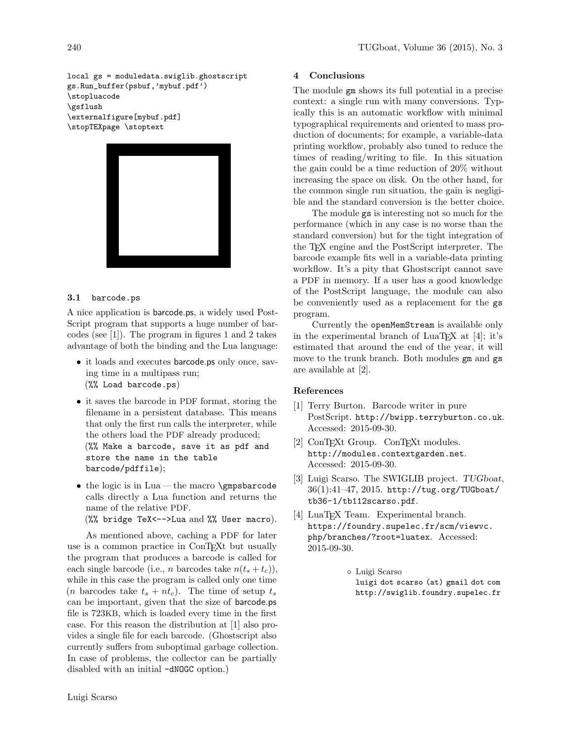local gs = moduledata.swiglib.ghostscript gs.Run\_buffer(psbuf,'mybuf.pdf') \stopluacode \gsflush \externalfigure[mybuf.pdf] \stopTEXpage \stoptext



#### 3.1 barcode.ps

A nice application is barcode.ps, a widely used Post-Script program that supports a huge number of barcodes (see [\[1\]](#page-3-1)). The program in figures [1](#page-4-0) and [2](#page-5-0) takes advantage of both the binding and the Lua language:

- it loads and executes barcode.ps only once, saving time in a multipass run; (%% Load barcode.ps)
- it saves the barcode in PDF format, storing the filename in a persistent database. This means that only the first run calls the interpreter, while the others load the PDF already produced; (%% Make a barcode, save it as pdf and store the name in the table barcode/pdffile);
- the logic is in Lua— the macro \gmpsbarcode calls directly a Lua function and returns the name of the relative PDF. (%% bridge TeX<-->Lua and %% User macro).

As mentioned above, caching a PDF for later use is a common practice in ConT<sub>EXt</sub> but usually the program that produces a barcode is called for each single barcode (i.e., *n* barcodes take  $n(t_s + t_c)$ ), while in this case the program is called only one time (*n* barcodes take  $t_s + nt_c$ ). The time of setup  $t_s$ can be important, given that the size of barcode.ps file is 723KB, which is loaded every time in the first case. For this reason the distribution at [\[1\]](#page-3-1) also provides a single file for each barcode. (Ghostscript also currently suffers from suboptimal garbage collection. In case of problems, the collector can be partially disabled with an initial -dNOGC option.)

### 4 Conclusions

The module gm shows its full potential in a precise context: a single run with many conversions. Typically this is an automatic workflow with minimal typographical requirements and oriented to mass production of documents; for example, a variable-data printing workflow, probably also tuned to reduce the times of reading/writing to file. In this situation the gain could be a time reduction of 20% without increasing the space on disk. On the other hand, for the common single run situation, the gain is negligible and the standard conversion is the better choice.

The module gs is interesting not so much for the performance (which in any case is no worse than the standard conversion) but for the tight integration of the TEX engine and the PostScript interpreter. The barcode example fits well in a variable-data printing workflow. It's a pity that Ghostscript cannot save a PDF in memory. If a user has a good knowledge of the PostScript language, the module can also be conveniently used as a replacement for the gs program.

Currently the openMemStream is available only in the experimental branch of  $LuaTFX$  at [\[4\]](#page-3-2); it's estimated that around the end of the year, it will move to the trunk branch. Both modules gm and gs are available at [\[2\]](#page-3-3).

## References

- <span id="page-3-1"></span>[1] Terry Burton. Barcode writer in pure PostScript. <http://bwipp.terryburton.co.uk>. Accessed: 2015-09-30.
- <span id="page-3-3"></span>[2] ConTEXt Group. ConTEXt modules. <http://modules.contextgarden.net>. Accessed: 2015-09-30.
- <span id="page-3-0"></span>[3] Luigi Scarso. The SWIGLIB project. TUGboat, 36(1):41–47, 2015. [http://tug.org/TUGboat/](http://tug.org/TUGboat/tb36-1/tb112scarso.pdf) [tb36-1/tb112scarso.pdf](http://tug.org/TUGboat/tb36-1/tb112scarso.pdf).
- <span id="page-3-2"></span>[4] LuaT<sub>F</sub>X Team. Experimental branch. [https://foundry.supelec.fr/scm/viewvc.](https://foundry.supelec.fr/scm/viewvc.php/branches/?root=luatex) [php/branches/?root=luatex](https://foundry.supelec.fr/scm/viewvc.php/branches/?root=luatex). Accessed: 2015-09-30.
	- Luigi Scarso luigi dot scarso (at) gmail dot com http://swiglib.foundry.supelec.fr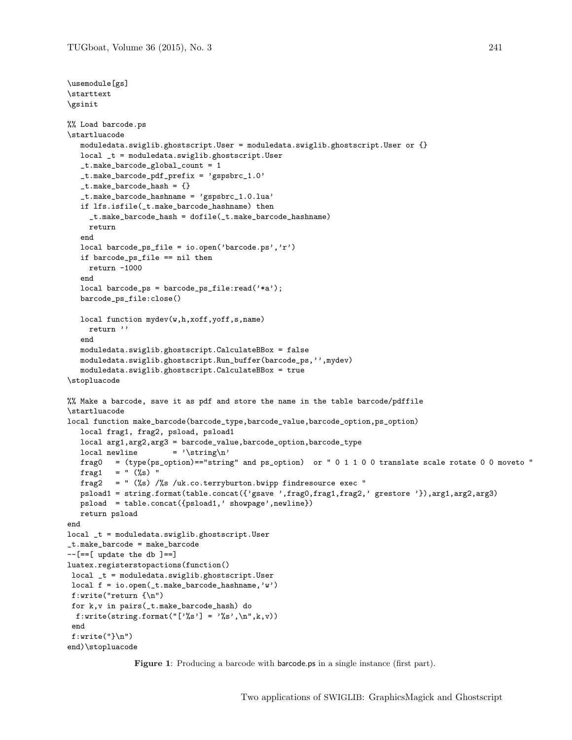```
\usemodule[gs]
\starttext
\gsinit
%% Load barcode.ps
\startluacode
  moduledata.swiglib.ghostscript.User = moduledata.swiglib.ghostscript.User or {}
  local _t = moduledata.swiglib.ghostscript.User
   _t.make_barcode_global_count = 1
   _t.make_barcode_pdf_prefix = 'gspsbrc_1.0'
   _t.make_barcode_hash = {}
   _t.make_barcode_hashname = 'gspsbrc_1.0.lua'
   if lfs.isfile(_t.make_barcode_hashname) then
     _t.make_barcode_hash = dofile(_t.make_barcode_hashname)
    return
   end
   local barcode_ps_file = io.open('barcode.ps','r')
   if barcode_ps_file == nil then
    return -1000
   end
   local barcode_ps = barcode_ps_file:read('*a');
  barcode_ps_file:close()
   local function mydev(w,h,xoff,yoff,s,name)
    return ''
   end
   moduledata.swiglib.ghostscript.CalculateBBox = false
   moduledata.swiglib.ghostscript.Run_buffer(barcode_ps,'',mydev)
   moduledata.swiglib.ghostscript.CalculateBBox = true
\stopluacode
%% Make a barcode, save it as pdf and store the name in the table barcode/pdffile
\startluacode
local function make_barcode(barcode_type,barcode_value,barcode_option,ps_option)
  local frag1, frag2, psload, psload1
  local arg1,arg2,arg3 = barcode_value,barcode_option,barcode_type
  \begin{aligned} \text{local newline} \quad &= \text{'\strut\texttt{char}\,} \end{aligned}frag0 = (type(ps_option)=="string" and ps_option) or " 0 1 1 0 0 translate scale rotate 0 0 moveto "
  frag1 = " (%s) "frag2 = " (\%s) /%s /uk.co.terryburton.bwipp findresource exec "
  psload1 = string.format(table.concat({'gsave ',frag0,frag1,frag2,' grestore '}),arg1,arg2,arg3)
  psload = table.concat({psload1,' showpage',newline})
  return psload
end
local _t = moduledata.swiglib.ghostscript.User
_t.make_barcode = make_barcode
--[==[ update the db ]==]luatex.registerstopactions(function()
local _t = moduledata.swiglib.ghostscript.User
local f = io.open(_t.make_barcode_hashname,'w')
f:write("return {\n")
for k,v in pairs(_t.make_barcode_hash) do
 f:write(string.format("['%s'] = '%s',\n",k,v))
end
f:write("}\nend)\stopluacode
```
<span id="page-4-0"></span>